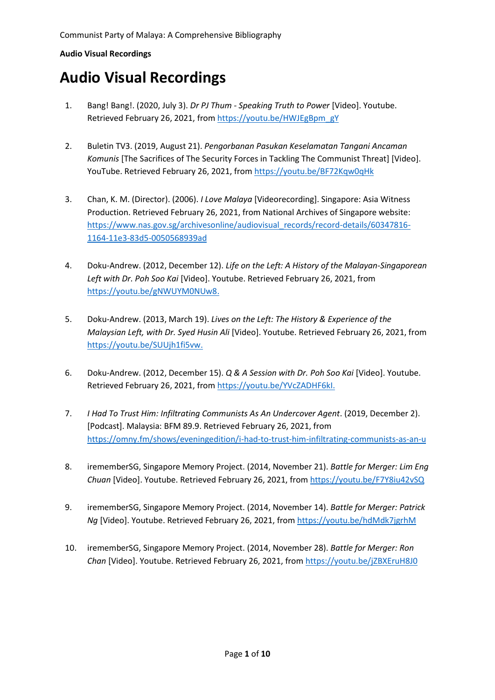- 1. Bang! Bang!. (2020, July 3). *Dr PJ Thum - Speaking Truth to Power* [Video]. Youtube. Retrieved February 26, 2021, fro[m https://youtu.be/HWJEgBpm\\_gY](https://youtu.be/HWJEgBpm_gY)
- 2. Buletin TV3. (2019, August 21). *Pengorbanan Pasukan Keselamatan Tangani Ancaman Komunis* [The Sacrifices of The Security Forces in Tackling The Communist Threat] [Video]. YouTube. Retrieved February 26, 2021, from <https://youtu.be/BF72Kqw0qHk>
- 3. Chan, K. M. (Director). (2006). *I Love Malaya* [Videorecording]. Singapore: Asia Witness Production. Retrieved February 26, 2021, from National Archives of Singapore website: [https://www.nas.gov.sg/archivesonline/audiovisual\\_records/record-details/60347816-](https://www.nas.gov.sg/archivesonline/audiovisual_records/record-details/60347816-1164-11e3-83d5-0050568939ad) [1164-11e3-83d5-0050568939ad](https://www.nas.gov.sg/archivesonline/audiovisual_records/record-details/60347816-1164-11e3-83d5-0050568939ad)
- 4. Doku-Andrew. (2012, December 12). *Life on the Left: A History of the Malayan-Singaporean Left with Dr. Poh Soo Kai* [Video]. Youtube. Retrieved February 26, 2021, from [https://youtu.be/gNWUYM0NUw8.](https://youtu.be/gNWUYM0NUw8)
- 5. Doku-Andrew. (2013, March 19). *Lives on the Left: The History & Experience of the Malaysian Left, with Dr. Syed Husin Ali* [Video]. Youtube. Retrieved February 26, 2021, from [https://youtu.be/SUUjh1fi5vw.](https://youtu.be/SUUjh1fi5vw)
- 6. Doku-Andrew. (2012, December 15). *Q & A Session with Dr. Poh Soo Kai* [Video]. Youtube. Retrieved February 26, 2021, from [https://youtu.be/YVcZADHF6kI.](https://youtu.be/YVcZADHF6kI)
- 7. *I Had To Trust Him: Infiltrating Communists As An Undercover Agent*. (2019, December 2). [Podcast]. Malaysia: BFM 89.9. Retrieved February 26, 2021, from <https://omny.fm/shows/eveningedition/i-had-to-trust-him-infiltrating-communists-as-an-u>
- 8. irememberSG, Singapore Memory Project. (2014, November 21). *Battle for Merger: Lim Eng Chuan* [Video]. Youtube. Retrieved February 26, 2021, from<https://youtu.be/F7Y8iu42vSQ>
- 9. irememberSG, Singapore Memory Project. (2014, November 14). *Battle for Merger: Patrick Ng* [Video]. Youtube. Retrieved February 26, 2021, fro[m https://youtu.be/hdMdk7jgrhM](https://youtu.be/hdMdk7jgrhM)
- 10. irememberSG, Singapore Memory Project. (2014, November 28). *Battle for Merger: Ron Chan* [Video]. Youtube. Retrieved February 26, 2021, fro[m https://youtu.be/jZBXEruH8J0](https://youtu.be/jZBXEruH8J0)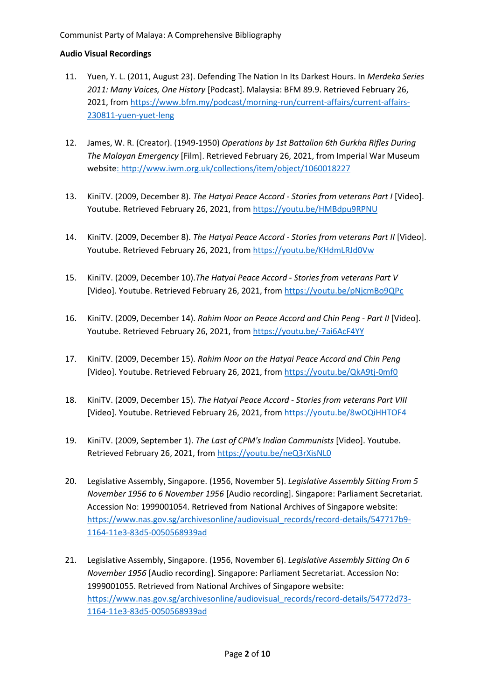- 11. Yuen, Y. L. (2011, August 23). Defending The Nation In Its Darkest Hours. In *Merdeka Series 2011: Many Voices, One History* [Podcast]. Malaysia: BFM 89.9. Retrieved February 26, 2021, from [https://www.bfm.my/podcast/morning-run/current-affairs/current-affairs-](https://www.bfm.my/podcast/morning-run/current-affairs/current-affairs-230811-yuen-yuet-leng)[230811-yuen-yuet-leng](https://www.bfm.my/podcast/morning-run/current-affairs/current-affairs-230811-yuen-yuet-leng)
- 12. James, W. R. (Creator). (1949-1950) *Operations by 1st Battalion 6th Gurkha Rifles During The Malayan Emergency* [Film]. Retrieved February 26, 2021, from Imperial War Museum website[: http://www.iwm.org.uk/collections/item/object/1060018227](http://www.iwm.org.uk/collections/item/object/1060018227)
- 13. KiniTV. (2009, December 8). *The Hatyai Peace Accord - Stories from veterans Part I* [Video]. Youtube. Retrieved February 26, 2021, from<https://youtu.be/HMBdpu9RPNU>
- 14. KiniTV. (2009, December 8). *The Hatyai Peace Accord - Stories from veterans Part II* [Video]. Youtube. Retrieved February 26, 2021, from <https://youtu.be/KHdmLRJd0Vw>
- 15. KiniTV. (2009, December 10).*The Hatyai Peace Accord - Stories from veterans Part V* [Video]. Youtube. Retrieved February 26, 2021, from <https://youtu.be/pNjcmBo9QPc>
- 16. KiniTV. (2009, December 14). *Rahim Noor on Peace Accord and Chin Peng - Part II* [Video]. Youtube. Retrieved February 26, 2021, from <https://youtu.be/-7ai6AcF4YY>
- 17. KiniTV. (2009, December 15). *Rahim Noor on the Hatyai Peace Accord and Chin Peng* [Video]. Youtube. Retrieved February 26, 2021, from <https://youtu.be/QkA9tj-0mf0>
- 18. KiniTV. (2009, December 15). *The Hatyai Peace Accord - Stories from veterans Part VIII* [Video]. Youtube. Retrieved February 26, 2021, from <https://youtu.be/8wOQiHHTOF4>
- 19. KiniTV. (2009, September 1). *The Last of CPM's Indian Communists* [Video]. Youtube. Retrieved February 26, 2021, from <https://youtu.be/neQ3rXisNL0>
- 20. Legislative Assembly, Singapore. (1956, November 5). *Legislative Assembly Sitting From 5 November 1956 to 6 November 1956* [Audio recording]. Singapore: Parliament Secretariat. Accession No: 1999001054. Retrieved from National Archives of Singapore website: [https://www.nas.gov.sg/archivesonline/audiovisual\\_records/record-details/547717b9-](https://www.nas.gov.sg/archivesonline/audiovisual_records/record-details/547717b9-1164-11e3-83d5-0050568939ad) [1164-11e3-83d5-0050568939ad](https://www.nas.gov.sg/archivesonline/audiovisual_records/record-details/547717b9-1164-11e3-83d5-0050568939ad)
- 21. Legislative Assembly, Singapore. (1956, November 6). *Legislative Assembly Sitting On 6 November 1956* [Audio recording]. Singapore: Parliament Secretariat. Accession No: 1999001055. Retrieved from National Archives of Singapore website: [https://www.nas.gov.sg/archivesonline/audiovisual\\_records/record-details/54772d73-](https://www.nas.gov.sg/archivesonline/audiovisual_records/record-details/54772d73-1164-11e3-83d5-0050568939ad) [1164-11e3-83d5-0050568939ad](https://www.nas.gov.sg/archivesonline/audiovisual_records/record-details/54772d73-1164-11e3-83d5-0050568939ad)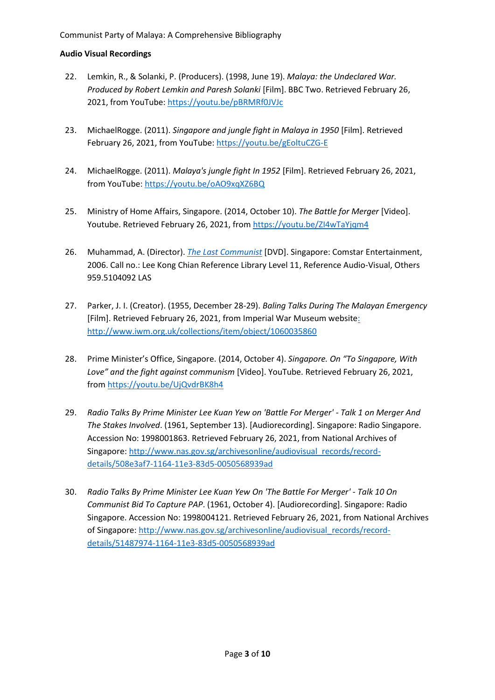- 22. Lemkin, R., & Solanki, P. (Producers). (1998, June 19). *Malaya: the Undeclared War. Produced by Robert Lemkin and Paresh Solanki* [Film]. BBC Two. Retrieved February 26, 2021, from YouTube: <https://youtu.be/pBRMRf0JVJc>
- 23. MichaelRogge. (2011). *Singapore and jungle fight in Malaya in 1950* [Film]. Retrieved February 26, 2021, from YouTube[: https://youtu.be/gEoltuCZG-E](https://youtu.be/gEoltuCZG-E)
- 24. MichaelRogge. (2011). *Malaya's jungle fight In 1952* [Film]. Retrieved February 26, 2021, from YouTube:<https://youtu.be/oAO9xqXZ6BQ>
- 25. Ministry of Home Affairs, Singapore. (2014, October 10). *The Battle for Merger* [Video]. Youtube. Retrieved February 26, 2021, from<https://youtu.be/ZI4wTaYjqm4>
- 26. Muhammad, A. (Director). *[The Last Communist](https://eservice.nlb.gov.sg/item_holding.aspx?bid=12804580)* [DVD]. Singapore: Comstar Entertainment, 2006. Call no.: Lee Kong Chian Reference Library Level 11, Reference Audio-Visual, Others 959.5104092 LAS
- 27. Parker, J. I. (Creator). (1955, December 28-29). *Baling Talks During The Malayan Emergency* [Film]. Retrieved February 26, 2021, from Imperial War Museum website: <http://www.iwm.org.uk/collections/item/object/1060035860>
- 28. Prime Minister's Office, Singapore. (2014, October 4). *Singapore. On "To Singapore, With Love" and the fight against communism* [Video]. YouTube. Retrieved February 26, 2021, from <https://youtu.be/UjQvdrBK8h4>
- 29. *Radio Talks By Prime Minister Lee Kuan Yew on 'Battle For Merger' - Talk 1 on Merger And The Stakes Involved*. (1961, September 13). [Audiorecording]. Singapore: Radio Singapore. Accession No: 1998001863. Retrieved February 26, 2021, from National Archives of Singapore: [http://www.nas.gov.sg/archivesonline/audiovisual\\_records/record](http://www.nas.gov.sg/archivesonline/audiovisual_records/record-details/508e3af7-1164-11e3-83d5-0050568939ad)[details/508e3af7-1164-11e3-83d5-0050568939ad](http://www.nas.gov.sg/archivesonline/audiovisual_records/record-details/508e3af7-1164-11e3-83d5-0050568939ad)
- 30. *Radio Talks By Prime Minister Lee Kuan Yew On 'The Battle For Merger' - Talk 10 On Communist Bid To Capture PAP*. (1961, October 4). [Audiorecording]. Singapore: Radio Singapore. Accession No: 1998004121. Retrieved February 26, 2021, from National Archives of Singapore: [http://www.nas.gov.sg/archivesonline/audiovisual\\_records/record](http://www.nas.gov.sg/archivesonline/audiovisual_records/record-details/51487974-1164-11e3-83d5-0050568939ad)[details/51487974-1164-11e3-83d5-0050568939ad](http://www.nas.gov.sg/archivesonline/audiovisual_records/record-details/51487974-1164-11e3-83d5-0050568939ad)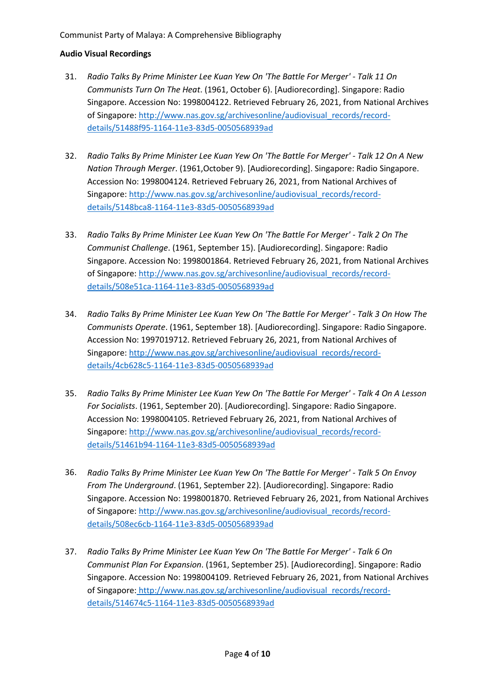- 31. *Radio Talks By Prime Minister Lee Kuan Yew On 'The Battle For Merger' - Talk 11 On Communists Turn On The Heat*. (1961, October 6). [Audiorecording]. Singapore: Radio Singapore. Accession No: 1998004122. Retrieved February 26, 2021, from National Archives of Singapore: [http://www.nas.gov.sg/archivesonline/audiovisual\\_records/record](http://www.nas.gov.sg/archivesonline/audiovisual_records/record-details/51488f95-1164-11e3-83d5-0050568939ad)[details/51488f95-1164-11e3-83d5-0050568939ad](http://www.nas.gov.sg/archivesonline/audiovisual_records/record-details/51488f95-1164-11e3-83d5-0050568939ad)
- 32. *Radio Talks By Prime Minister Lee Kuan Yew On 'The Battle For Merger' - Talk 12 On A New Nation Through Merger*. (1961,October 9). [Audiorecording]. Singapore: Radio Singapore. Accession No: 1998004124. Retrieved February 26, 2021, from National Archives of Singapore: [http://www.nas.gov.sg/archivesonline/audiovisual\\_records/record](http://www.nas.gov.sg/archivesonline/audiovisual_records/record-details/5148bca8-1164-11e3-83d5-0050568939ad)[details/5148bca8-1164-11e3-83d5-0050568939ad](http://www.nas.gov.sg/archivesonline/audiovisual_records/record-details/5148bca8-1164-11e3-83d5-0050568939ad)
- 33. *Radio Talks By Prime Minister Lee Kuan Yew On 'The Battle For Merger' - Talk 2 On The Communist Challenge*. (1961, September 15). [Audiorecording]. Singapore: Radio Singapore. Accession No: 1998001864. Retrieved February 26, 2021, from National Archives of Singapore: [http://www.nas.gov.sg/archivesonline/audiovisual\\_records/record](http://www.nas.gov.sg/archivesonline/audiovisual_records/record-details/508e51ca-1164-11e3-83d5-0050568939ad)[details/508e51ca-1164-11e3-83d5-0050568939ad](http://www.nas.gov.sg/archivesonline/audiovisual_records/record-details/508e51ca-1164-11e3-83d5-0050568939ad)
- 34. *Radio Talks By Prime Minister Lee Kuan Yew On 'The Battle For Merger' - Talk 3 On How The Communists Operate*. (1961, September 18). [Audiorecording]. Singapore: Radio Singapore. Accession No: 1997019712. Retrieved February 26, 2021, from National Archives of Singapore: [http://www.nas.gov.sg/archivesonline/audiovisual\\_records/record](http://www.nas.gov.sg/archivesonline/audiovisual_records/record-details/4cb628c5-1164-11e3-83d5-0050568939ad)[details/4cb628c5-1164-11e3-83d5-0050568939ad](http://www.nas.gov.sg/archivesonline/audiovisual_records/record-details/4cb628c5-1164-11e3-83d5-0050568939ad)
- 35. *Radio Talks By Prime Minister Lee Kuan Yew On 'The Battle For Merger' - Talk 4 On A Lesson For Socialists*. (1961, September 20). [Audiorecording]. Singapore: Radio Singapore. Accession No: 1998004105. Retrieved February 26, 2021, from National Archives of Singapore: [http://www.nas.gov.sg/archivesonline/audiovisual\\_records/record](http://www.nas.gov.sg/archivesonline/audiovisual_records/record-details/51461b94-1164-11e3-83d5-0050568939ad)[details/51461b94-1164-11e3-83d5-0050568939ad](http://www.nas.gov.sg/archivesonline/audiovisual_records/record-details/51461b94-1164-11e3-83d5-0050568939ad)
- 36. *Radio Talks By Prime Minister Lee Kuan Yew On 'The Battle For Merger' - Talk 5 On Envoy From The Underground*. (1961, September 22). [Audiorecording]. Singapore: Radio Singapore. Accession No: 1998001870. Retrieved February 26, 2021, from National Archives of Singapore: [http://www.nas.gov.sg/archivesonline/audiovisual\\_records/record](http://www.nas.gov.sg/archivesonline/audiovisual_records/record-details/508ec6cb-1164-11e3-83d5-0050568939ad)[details/508ec6cb-1164-11e3-83d5-0050568939ad](http://www.nas.gov.sg/archivesonline/audiovisual_records/record-details/508ec6cb-1164-11e3-83d5-0050568939ad)
- 37. *Radio Talks By Prime Minister Lee Kuan Yew On 'The Battle For Merger' - Talk 6 On Communist Plan For Expansion*. (1961, September 25). [Audiorecording]. Singapore: Radio Singapore. Accession No: 1998004109. Retrieved February 26, 2021, from National Archives of Singapore: [http://www.nas.gov.sg/archivesonline/audiovisual\\_records/record](http://www.nas.gov.sg/archivesonline/audiovisual_records/record-details/514674c5-1164-11e3-83d5-0050568939ad)[details/514674c5-1164-11e3-83d5-0050568939ad](http://www.nas.gov.sg/archivesonline/audiovisual_records/record-details/514674c5-1164-11e3-83d5-0050568939ad)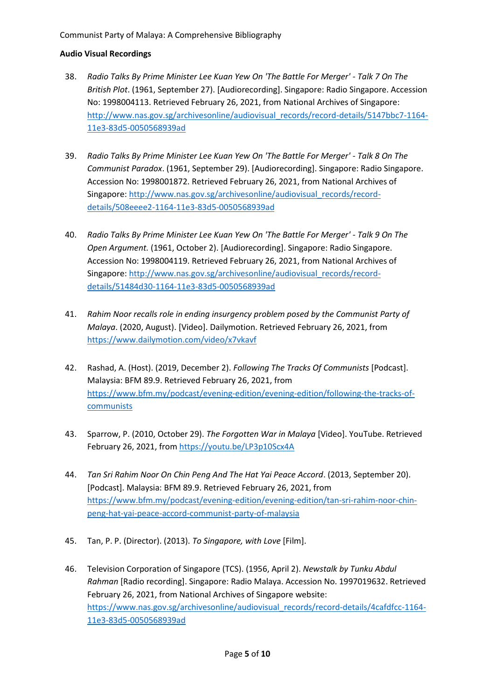- 38. *Radio Talks By Prime Minister Lee Kuan Yew On 'The Battle For Merger' - Talk 7 On The British Plot*. (1961, September 27). [Audiorecording]. Singapore: Radio Singapore. Accession No: 1998004113. Retrieved February 26, 2021, from National Archives of Singapore: [http://www.nas.gov.sg/archivesonline/audiovisual\\_records/record-details/5147bbc7-1164-](http://www.nas.gov.sg/archivesonline/audiovisual_records/record-details/5147bbc7-1164-11e3-83d5-0050568939ad) [11e3-83d5-0050568939ad](http://www.nas.gov.sg/archivesonline/audiovisual_records/record-details/5147bbc7-1164-11e3-83d5-0050568939ad)
- 39. *Radio Talks By Prime Minister Lee Kuan Yew On 'The Battle For Merger' - Talk 8 On The Communist Paradox*. (1961, September 29). [Audiorecording]. Singapore: Radio Singapore. Accession No: 1998001872. Retrieved February 26, 2021, from National Archives of Singapore: [http://www.nas.gov.sg/archivesonline/audiovisual\\_records/record](http://www.nas.gov.sg/archivesonline/audiovisual_records/record-details/508eeee2-1164-11e3-83d5-0050568939ad)[details/508eeee2-1164-11e3-83d5-0050568939ad](http://www.nas.gov.sg/archivesonline/audiovisual_records/record-details/508eeee2-1164-11e3-83d5-0050568939ad)
- 40. *Radio Talks By Prime Minister Lee Kuan Yew On 'The Battle For Merger' - Talk 9 On The Open Argument.* (1961, October 2). [Audiorecording]. Singapore: Radio Singapore. Accession No: 1998004119. Retrieved February 26, 2021, from National Archives of Singapore: [http://www.nas.gov.sg/archivesonline/audiovisual\\_records/record](http://www.nas.gov.sg/archivesonline/audiovisual_records/record-details/51484d30-1164-11e3-83d5-0050568939ad)[details/51484d30-1164-11e3-83d5-0050568939ad](http://www.nas.gov.sg/archivesonline/audiovisual_records/record-details/51484d30-1164-11e3-83d5-0050568939ad)
- 41. *Rahim Noor recalls role in ending insurgency problem posed by the Communist Party of Malaya*. (2020, August). [Video]. Dailymotion. Retrieved February 26, 2021, from <https://www.dailymotion.com/video/x7vkavf>
- 42. Rashad, A. (Host). (2019, December 2). *Following The Tracks Of Communists* [Podcast]. Malaysia: BFM 89.9. Retrieved February 26, 2021, from [https://www.bfm.my/podcast/evening-edition/evening-edition/following-the-tracks-of](https://www.bfm.my/podcast/evening-edition/evening-edition/following-the-tracks-of-communists)**[communists](https://www.bfm.my/podcast/evening-edition/evening-edition/following-the-tracks-of-communists)**
- 43. Sparrow, P. (2010, October 29). *The Forgotten War in Malaya* [Video]. YouTube. Retrieved February 26, 2021, from <https://youtu.be/LP3p10Scx4A>
- 44. *Tan Sri Rahim Noor On Chin Peng And The Hat Yai Peace Accord*. (2013, September 20). [Podcast]. Malaysia: BFM 89.9. Retrieved February 26, 2021, from [https://www.bfm.my/podcast/evening-edition/evening-edition/tan-sri-rahim-noor-chin](https://www.bfm.my/podcast/evening-edition/evening-edition/tan-sri-rahim-noor-chin-peng-hat-yai-peace-accord-communist-party-of-malaysia)[peng-hat-yai-peace-accord-communist-party-of-malaysia](https://www.bfm.my/podcast/evening-edition/evening-edition/tan-sri-rahim-noor-chin-peng-hat-yai-peace-accord-communist-party-of-malaysia)
- 45. Tan, P. P. (Director). (2013). *To Singapore, with Love* [Film].
- 46. Television Corporation of Singapore (TCS). (1956, April 2). *Newstalk by Tunku Abdul Rahman* [Radio recording]. Singapore: Radio Malaya. Accession No. 1997019632. Retrieved February 26, 2021, from National Archives of Singapore website: [https://www.nas.gov.sg/archivesonline/audiovisual\\_records/record-details/4cafdfcc-1164-](https://www.nas.gov.sg/archivesonline/audiovisual_records/record-details/4cafdfcc-1164-11e3-83d5-0050568939ad) [11e3-83d5-0050568939ad](https://www.nas.gov.sg/archivesonline/audiovisual_records/record-details/4cafdfcc-1164-11e3-83d5-0050568939ad)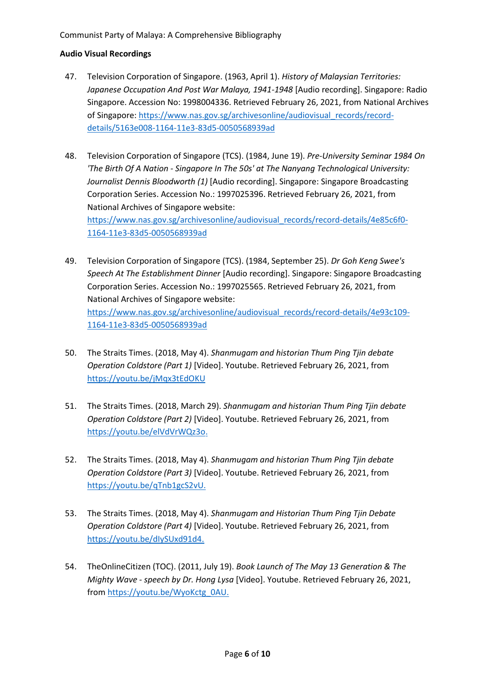- 47. Television Corporation of Singapore. (1963, April 1). *History of Malaysian Territories: Japanese Occupation And Post War Malaya, 1941-1948* [Audio recording]. Singapore: Radio Singapore. Accession No: 1998004336. Retrieved February 26, 2021, from National Archives of Singapore: [https://www.nas.gov.sg/archivesonline/audiovisual\\_records/record](https://www.nas.gov.sg/archivesonline/audiovisual_records/record-details/5163e008-1164-11e3-83d5-0050568939ad)[details/5163e008-1164-11e3-83d5-0050568939ad](https://www.nas.gov.sg/archivesonline/audiovisual_records/record-details/5163e008-1164-11e3-83d5-0050568939ad)
- 48. Television Corporation of Singapore (TCS). (1984, June 19). *Pre-University Seminar 1984 On 'The Birth Of A Nation - Singapore In The 50s' at The Nanyang Technological University: Journalist Dennis Bloodworth (1)* [Audio recording]. Singapore: Singapore Broadcasting Corporation Series. Accession No.: 1997025396. Retrieved February 26, 2021, from National Archives of Singapore website: [https://www.nas.gov.sg/archivesonline/audiovisual\\_records/record-details/4e85c6f0-](https://www.nas.gov.sg/archivesonline/audiovisual_records/record-details/4e85c6f0-1164-11e3-83d5-0050568939ad) [1164-11e3-83d5-0050568939ad](https://www.nas.gov.sg/archivesonline/audiovisual_records/record-details/4e85c6f0-1164-11e3-83d5-0050568939ad)
- 49. Television Corporation of Singapore (TCS). (1984, September 25). *Dr Goh Keng Swee's Speech At The Establishment Dinner* [Audio recording]. Singapore: Singapore Broadcasting Corporation Series. Accession No.: 1997025565. Retrieved February 26, 2021, from National Archives of Singapore website: [https://www.nas.gov.sg/archivesonline/audiovisual\\_records/record-details/4e93c109-](https://www.nas.gov.sg/archivesonline/audiovisual_records/record-details/4e93c109-1164-11e3-83d5-0050568939ad) [1164-11e3-83d5-0050568939ad](https://www.nas.gov.sg/archivesonline/audiovisual_records/record-details/4e93c109-1164-11e3-83d5-0050568939ad)
- 50. The Straits Times. (2018, May 4). *Shanmugam and historian Thum Ping Tjin debate Operation Coldstore (Part 1)* [Video]. Youtube. Retrieved February 26, 2021, from <https://youtu.be/jMqx3tEdOKU>
- 51. The Straits Times. (2018, March 29). *Shanmugam and historian Thum Ping Tjin debate Operation Coldstore (Part 2)* [Video]. Youtube. Retrieved February 26, 2021, from [https://youtu.be/elVdVrWQz3o.](https://youtu.be/elVdVrWQz3o)
- 52. The Straits Times. (2018, May 4). *Shanmugam and historian Thum Ping Tjin debate Operation Coldstore (Part 3)* [Video]. Youtube. Retrieved February 26, 2021, from [https://youtu.be/qTnb1gcS2vU.](https://youtu.be/qTnb1gcS2vU)
- 53. The Straits Times. (2018, May 4). *Shanmugam and Historian Thum Ping Tjin Debate Operation Coldstore (Part 4)* [Video]. Youtube. Retrieved February 26, 2021, from [https://youtu.be/dIySUxd91d4.](https://youtu.be/dIySUxd91d4)
- 54. TheOnlineCitizen (TOC). (2011, July 19). *Book Launch of The May 13 Generation & The Mighty Wave - speech by Dr. Hong Lysa* [Video]. Youtube. Retrieved February 26, 2021, from [https://youtu.be/WyoKctg\\_0AU.](https://youtu.be/WyoKctg_0AU)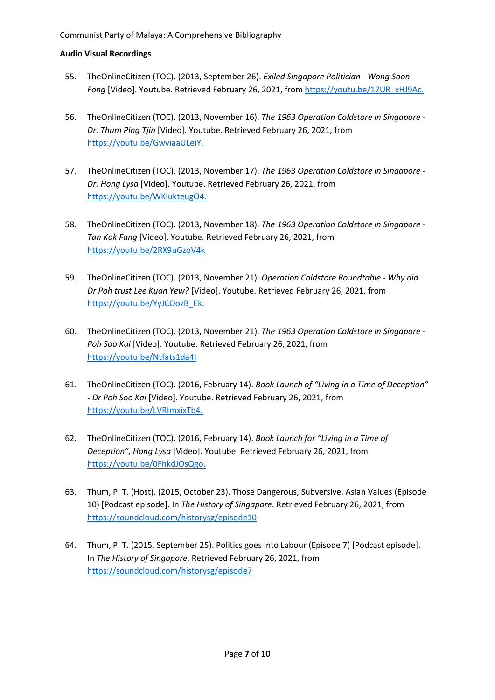- 55. TheOnlineCitizen (TOC). (2013, September 26). *Exiled Singapore Politician - Wong Soon Fong* [Video]. Youtube. Retrieved February 26, 2021, from [https://youtu.be/17UR\\_xHJ9Ac.](https://youtu.be/17UR_xHJ9Ac)
- 56. TheOnlineCitizen (TOC). (2013, November 16). *The 1963 Operation Coldstore in Singapore - Dr. Thum Ping Tjin* [Video]. Youtube. Retrieved February 26, 2021, from [https://youtu.be/GwviaaULeiY.](https://youtu.be/GwviaaULeiY)
- 57. TheOnlineCitizen (TOC). (2013, November 17). *The 1963 Operation Coldstore in Singapore - Dr. Hong Lysa* [Video]. Youtube. Retrieved February 26, 2021, from [https://youtu.be/WKlukteugO4.](https://youtu.be/WKlukteugO4)
- 58. TheOnlineCitizen (TOC). (2013, November 18). *The 1963 Operation Coldstore in Singapore - Tan Kok Fang* [Video]. Youtube. Retrieved February 26, 2021, from <https://youtu.be/2RX9uGzoV4k>
- 59. TheOnlineCitizen (TOC). (2013, November 21). *Operation Coldstore Roundtable - Why did Dr Poh trust Lee Kuan Yew?* [Video]. Youtube. Retrieved February 26, 2021, from [https://youtu.be/YyJCOozB\\_Ek.](https://youtu.be/YyJCOozB_Ek)
- 60. TheOnlineCitizen (TOC). (2013, November 21). *The 1963 Operation Coldstore in Singapore - Poh Soo Kai* [Video]. Youtube. Retrieved February 26, 2021, from <https://youtu.be/Ntfats1da4I>
- 61. TheOnlineCitizen (TOC). (2016, February 14). *Book Launch of "Living in a Time of Deception" - Dr Poh Soo Kai* [Video]. Youtube. Retrieved February 26, 2021, from [https://youtu.be/LVRImxixTb4.](https://youtu.be/LVRImxixTb4)
- 62. TheOnlineCitizen (TOC). (2016, February 14). *Book Launch for "Living in a Time of Deception", Hong Lysa* [Video]. Youtube. Retrieved February 26, 2021, from [https://youtu.be/0FhkdJOsQgo.](https://youtu.be/0FhkdJOsQgo)
- 63. Thum, P. T. (Host). (2015, October 23). Those Dangerous, Subversive, Asian Values (Episode 10) [Podcast episode]. In *The History of Singapore*. Retrieved February 26, 2021, from <https://soundcloud.com/historysg/episode10>
- 64. Thum, P. T. (2015, September 25). Politics goes into Labour (Episode 7) [Podcast episode]. In *The History of Singapore*. Retrieved February 26, 2021, from <https://soundcloud.com/historysg/episode7>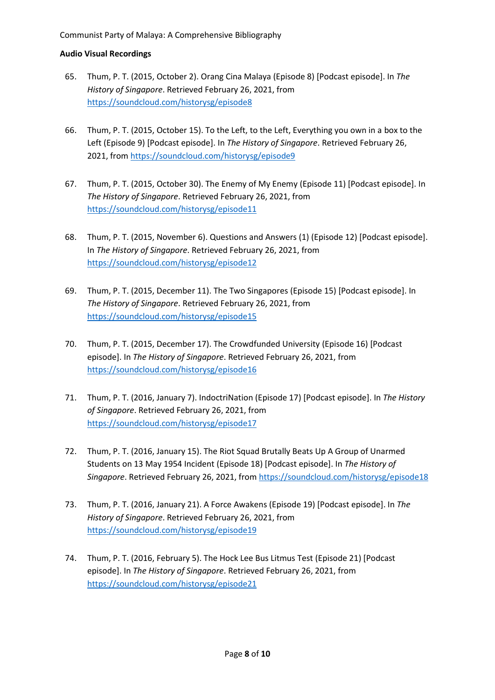- 65. Thum, P. T. (2015, October 2). Orang Cina Malaya (Episode 8) [Podcast episode]. In *The History of Singapore*. Retrieved February 26, 2021, from <https://soundcloud.com/historysg/episode8>
- 66. Thum, P. T. (2015, October 15). To the Left, to the Left, Everything you own in a box to the Left (Episode 9) [Podcast episode]. In *The History of Singapore*. Retrieved February 26, 2021, from <https://soundcloud.com/historysg/episode9>
- 67. Thum, P. T. (2015, October 30). The Enemy of My Enemy (Episode 11) [Podcast episode]. In *The History of Singapore*. Retrieved February 26, 2021, from <https://soundcloud.com/historysg/episode11>
- 68. Thum, P. T. (2015, November 6). Questions and Answers (1) (Episode 12) [Podcast episode]. In *The History of Singapore*. Retrieved February 26, 2021, from <https://soundcloud.com/historysg/episode12>
- 69. Thum, P. T. (2015, December 11). The Two Singapores (Episode 15) [Podcast episode]. In *The History of Singapore*. Retrieved February 26, 2021, from <https://soundcloud.com/historysg/episode15>
- 70. Thum, P. T. (2015, December 17). The Crowdfunded University (Episode 16) [Podcast episode]. In *The History of Singapore*. Retrieved February 26, 2021, from <https://soundcloud.com/historysg/episode16>
- 71. Thum, P. T. (2016, January 7). IndoctriNation (Episode 17) [Podcast episode]. In *The History of Singapore*. Retrieved February 26, 2021, from <https://soundcloud.com/historysg/episode17>
- 72. Thum, P. T. (2016, January 15). The Riot Squad Brutally Beats Up A Group of Unarmed Students on 13 May 1954 Incident (Episode 18) [Podcast episode]. In *The History of Singapore*. Retrieved February 26, 2021, from <https://soundcloud.com/historysg/episode18>
- 73. Thum, P. T. (2016, January 21). A Force Awakens (Episode 19) [Podcast episode]. In *The History of Singapore*. Retrieved February 26, 2021, from <https://soundcloud.com/historysg/episode19>
- 74. Thum, P. T. (2016, February 5). The Hock Lee Bus Litmus Test (Episode 21) [Podcast episode]. In *The History of Singapore*. Retrieved February 26, 2021, from <https://soundcloud.com/historysg/episode21>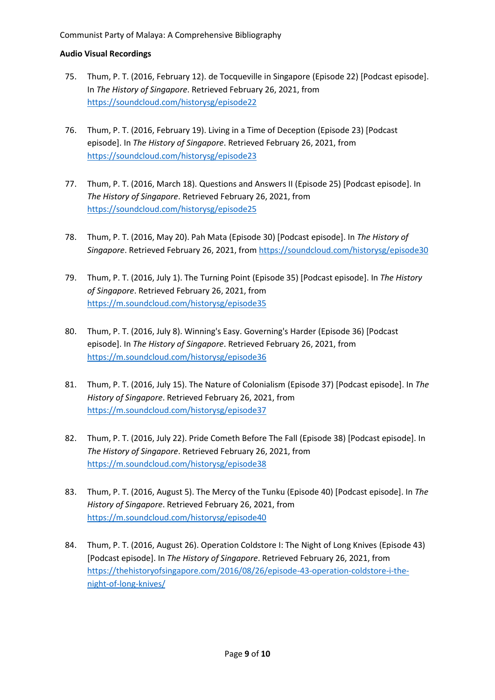- 75. Thum, P. T. (2016, February 12). de Tocqueville in Singapore (Episode 22) [Podcast episode]. In *The History of Singapore*. Retrieved February 26, 2021, from <https://soundcloud.com/historysg/episode22>
- 76. Thum, P. T. (2016, February 19). Living in a Time of Deception (Episode 23) [Podcast episode]. In *The History of Singapore*. Retrieved February 26, 2021, from <https://soundcloud.com/historysg/episode23>
- 77. Thum, P. T. (2016, March 18). Questions and Answers II (Episode 25) [Podcast episode]. In *The History of Singapore*. Retrieved February 26, 2021, from <https://soundcloud.com/historysg/episode25>
- 78. Thum, P. T. (2016, May 20). Pah Mata (Episode 30) [Podcast episode]. In *The History of Singapore*. Retrieved February 26, 2021, from <https://soundcloud.com/historysg/episode30>
- 79. Thum, P. T. (2016, July 1). The Turning Point (Episode 35) [Podcast episode]. In *The History of Singapore*. Retrieved February 26, 2021, from <https://m.soundcloud.com/historysg/episode35>
- 80. Thum, P. T. (2016, July 8). Winning's Easy. Governing's Harder (Episode 36) [Podcast episode]. In *The History of Singapore*. Retrieved February 26, 2021, from <https://m.soundcloud.com/historysg/episode36>
- 81. Thum, P. T. (2016, July 15). The Nature of Colonialism (Episode 37) [Podcast episode]. In *The History of Singapore*. Retrieved February 26, 2021, from <https://m.soundcloud.com/historysg/episode37>
- 82. Thum, P. T. (2016, July 22). Pride Cometh Before The Fall (Episode 38) [Podcast episode]. In *The History of Singapore*. Retrieved February 26, 2021, from <https://m.soundcloud.com/historysg/episode38>
- 83. Thum, P. T. (2016, August 5). The Mercy of the Tunku (Episode 40) [Podcast episode]. In *The History of Singapore*. Retrieved February 26, 2021, from <https://m.soundcloud.com/historysg/episode40>
- 84. Thum, P. T. (2016, August 26). Operation Coldstore I: The Night of Long Knives (Episode 43) [Podcast episode]. In *The History of Singapore*. Retrieved February 26, 2021, from [https://thehistoryofsingapore.com/2016/08/26/episode-43-operation-coldstore-i-the](https://thehistoryofsingapore.com/2016/08/26/episode-43-operation-coldstore-i-the-night-of-long-knives/)[night-of-long-knives/](https://thehistoryofsingapore.com/2016/08/26/episode-43-operation-coldstore-i-the-night-of-long-knives/)